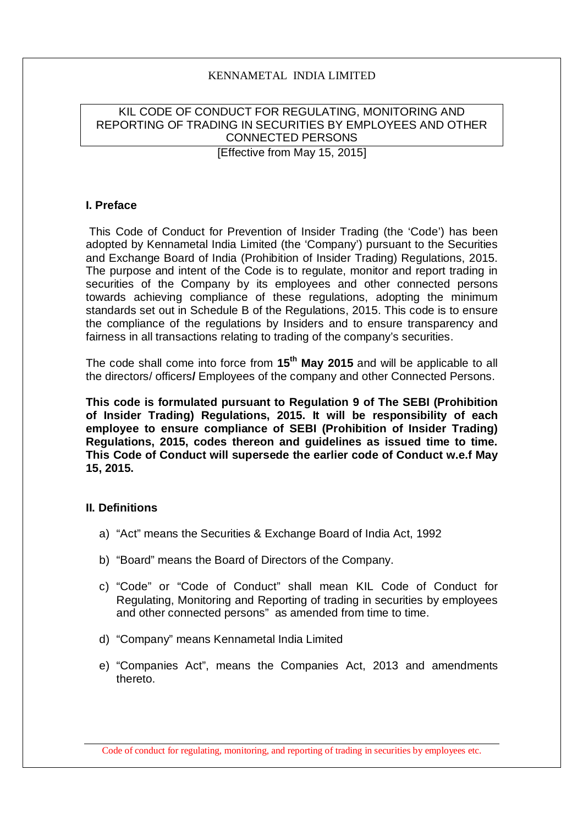# KIL CODE OF CONDUCT FOR REGULATING, MONITORING AND REPORTING OF TRADING IN SECURITIES BY EMPLOYEES AND OTHER CONNECTED PERSONS

[Effective from May 15, 2015]

### **I. Preface**

This Code of Conduct for Prevention of Insider Trading (the 'Code') has been adopted by Kennametal India Limited (the 'Company') pursuant to the Securities and Exchange Board of India (Prohibition of Insider Trading) Regulations, 2015. The purpose and intent of the Code is to regulate, monitor and report trading in securities of the Company by its employees and other connected persons towards achieving compliance of these regulations, adopting the minimum standards set out in Schedule B of the Regulations, 2015. This code is to ensure the compliance of the regulations by Insiders and to ensure transparency and fairness in all transactions relating to trading of the company's securities.

The code shall come into force from **15th May 2015** and will be applicable to all the directors/ officers**/** Employees of the company and other Connected Persons.

**This code is formulated pursuant to Regulation 9 of The SEBI (Prohibition of Insider Trading) Regulations, 2015. It will be responsibility of each employee to ensure compliance of SEBI (Prohibition of Insider Trading) Regulations, 2015, codes thereon and guidelines as issued time to time. This Code of Conduct will supersede the earlier code of Conduct w.e.f May 15, 2015.** 

#### **II. Definitions**

- a) "Act" means the Securities & Exchange Board of India Act, 1992
- b) "Board" means the Board of Directors of the Company.
- c) "Code" or "Code of Conduct" shall mean KIL Code of Conduct for Regulating, Monitoring and Reporting of trading in securities by employees and other connected persons" as amended from time to time.
- d) "Company" means Kennametal India Limited
- e) "Companies Act", means the Companies Act, 2013 and amendments thereto.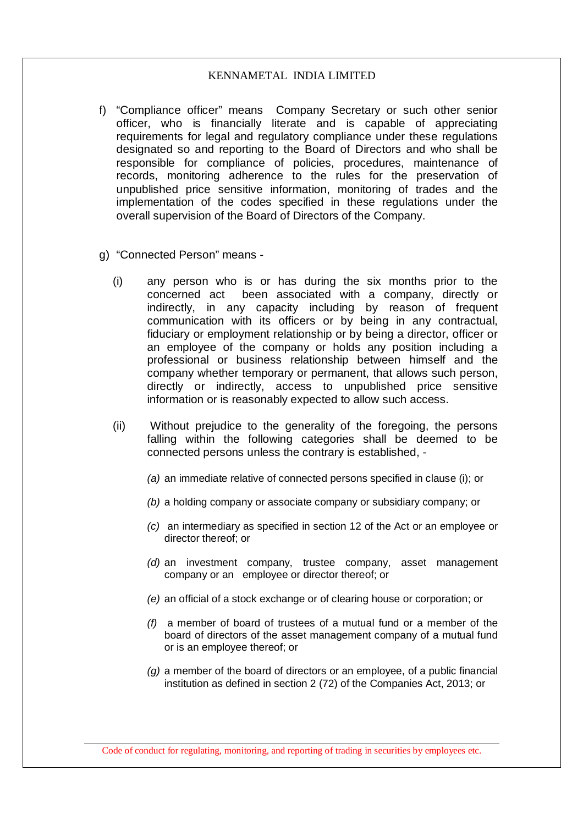- f) "Compliance officer" means Company Secretary or such other senior officer, who is financially literate and is capable of appreciating requirements for legal and regulatory compliance under these regulations designated so and reporting to the Board of Directors and who shall be responsible for compliance of policies, procedures, maintenance of records, monitoring adherence to the rules for the preservation of unpublished price sensitive information, monitoring of trades and the implementation of the codes specified in these regulations under the overall supervision of the Board of Directors of the Company.
- g) "Connected Person" means
	- (i) any person who is or has during the six months prior to the concerned act been associated with a company, directly or indirectly, in any capacity including by reason of frequent communication with its officers or by being in any contractual, fiduciary or employment relationship or by being a director, officer or an employee of the company or holds any position including a professional or business relationship between himself and the company whether temporary or permanent, that allows such person, directly or indirectly, access to unpublished price sensitive information or is reasonably expected to allow such access.
	- (ii) Without prejudice to the generality of the foregoing, the persons falling within the following categories shall be deemed to be connected persons unless the contrary is established, -
		- *(a)* an immediate relative of connected persons specified in clause (i); or
		- *(b)* a holding company or associate company or subsidiary company; or
		- *(c)* an intermediary as specified in section 12 of the Act or an employee or director thereof; or
		- *(d)* an investment company, trustee company, asset management company or an employee or director thereof; or
		- *(e)* an official of a stock exchange or of clearing house or corporation; or
		- *(f)* a member of board of trustees of a mutual fund or a member of the board of directors of the asset management company of a mutual fund or is an employee thereof; or
		- *(g)* a member of the board of directors or an employee, of a public financial institution as defined in section 2 (72) of the Companies Act, 2013; or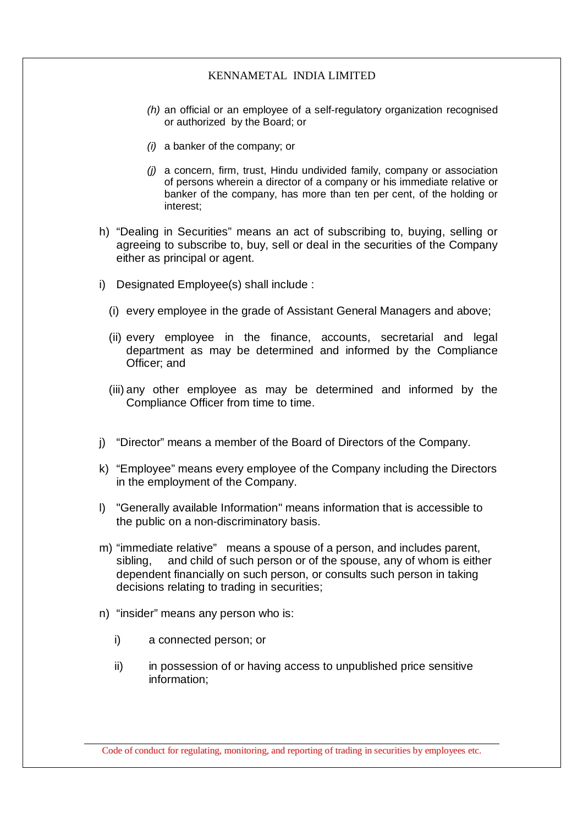- *(h)* an official or an employee of a self-regulatory organization recognised or authorized by the Board; or
- *(i)* a banker of the company; or
- *(j)* a concern, firm, trust, Hindu undivided family, company or association of persons wherein a director of a company or his immediate relative or banker of the company, has more than ten per cent, of the holding or interest;
- h) "Dealing in Securities" means an act of subscribing to, buying, selling or agreeing to subscribe to, buy, sell or deal in the securities of the Company either as principal or agent.
- i) Designated Employee(s) shall include :
	- (i) every employee in the grade of Assistant General Managers and above;
	- (ii) every employee in the finance, accounts, secretarial and legal department as may be determined and informed by the Compliance Officer; and
	- (iii) any other employee as may be determined and informed by the Compliance Officer from time to time.
- j) "Director" means a member of the Board of Directors of the Company.
- k) "Employee" means every employee of the Company including the Directors in the employment of the Company.
- l) "Generally available Information" means information that is accessible to the public on a non-discriminatory basis.
- m) "immediate relative" means a spouse of a person, and includes parent, sibling, and child of such person or of the spouse, any of whom is either dependent financially on such person, or consults such person in taking decisions relating to trading in securities;
- n) "insider" means any person who is:
	- i) a connected person; or
	- ii) in possession of or having access to unpublished price sensitive information;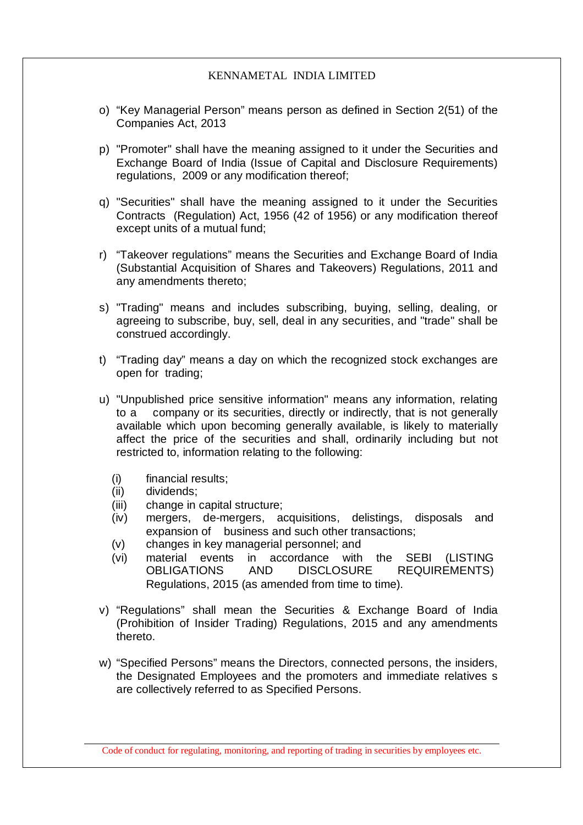- o) "Key Managerial Person" means person as defined in Section 2(51) of the Companies Act, 2013
- p) "Promoter" shall have the meaning assigned to it under the Securities and Exchange Board of India (Issue of Capital and Disclosure Requirements) regulations, 2009 or any modification thereof;
- q) "Securities" shall have the meaning assigned to it under the Securities Contracts (Regulation) Act, 1956 (42 of 1956) or any modification thereof except units of a mutual fund;
- r) "Takeover regulations" means the Securities and Exchange Board of India (Substantial Acquisition of Shares and Takeovers) Regulations, 2011 and any amendments thereto;
- s) "Trading" means and includes subscribing, buying, selling, dealing, or agreeing to subscribe, buy, sell, deal in any securities, and "trade" shall be construed accordingly.
- t) "Trading day" means a day on which the recognized stock exchanges are open for trading;
- u) "Unpublished price sensitive information" means any information, relating to a company or its securities, directly or indirectly, that is not generally available which upon becoming generally available, is likely to materially affect the price of the securities and shall, ordinarily including but not restricted to, information relating to the following:
	- (i) financial results;
	- (ii) dividends;
	- (iii) change in capital structure;
	- (iv) mergers, de-mergers, acquisitions, delistings, disposals and expansion of business and such other transactions;
	- (v) changes in key managerial personnel; and
	- (vi) material events in accordance with the SEBI (LISTING OBLIGATIONS AND DISCLOSURE REQUIREMENTS) Regulations, 2015 (as amended from time to time).
- v) "Regulations" shall mean the Securities & Exchange Board of India (Prohibition of Insider Trading) Regulations, 2015 and any amendments thereto.
- w) "Specified Persons" means the Directors, connected persons, the insiders, the Designated Employees and the promoters and immediate relatives s are collectively referred to as Specified Persons.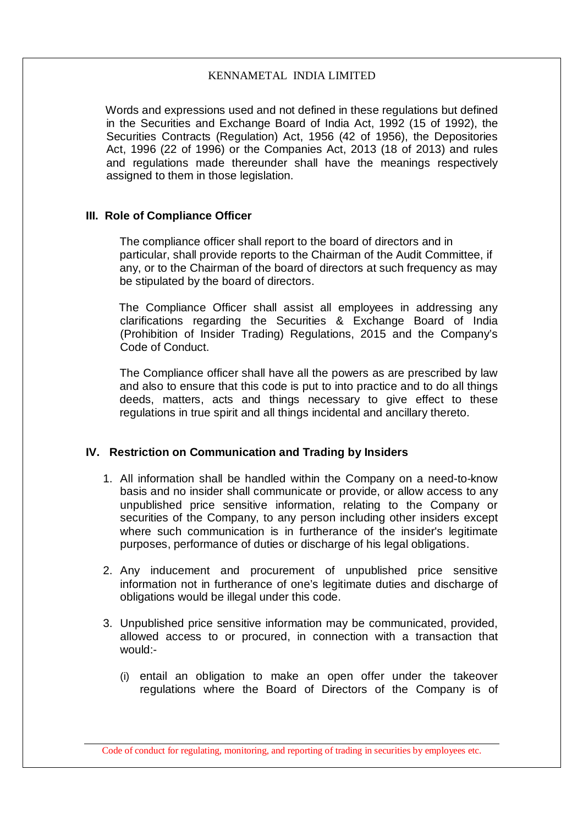Words and expressions used and not defined in these regulations but defined in the Securities and Exchange Board of India Act, 1992 (15 of 1992), the Securities Contracts (Regulation) Act, 1956 (42 of 1956), the Depositories Act, 1996 (22 of 1996) or the Companies Act, 2013 (18 of 2013) and rules and regulations made thereunder shall have the meanings respectively assigned to them in those legislation.

### **III. Role of Compliance Officer**

The compliance officer shall report to the board of directors and in particular, shall provide reports to the Chairman of the Audit Committee, if any, or to the Chairman of the board of directors at such frequency as may be stipulated by the board of directors.

 The Compliance Officer shall assist all employees in addressing any clarifications regarding the Securities & Exchange Board of India (Prohibition of Insider Trading) Regulations, 2015 and the Company's Code of Conduct.

The Compliance officer shall have all the powers as are prescribed by law and also to ensure that this code is put to into practice and to do all things deeds, matters, acts and things necessary to give effect to these regulations in true spirit and all things incidental and ancillary thereto.

### **IV. Restriction on Communication and Trading by Insiders**

- 1. All information shall be handled within the Company on a need-to-know basis and no insider shall communicate or provide, or allow access to any unpublished price sensitive information, relating to the Company or securities of the Company, to any person including other insiders except where such communication is in furtherance of the insider's legitimate purposes, performance of duties or discharge of his legal obligations.
- 2. Any inducement and procurement of unpublished price sensitive information not in furtherance of one's legitimate duties and discharge of obligations would be illegal under this code.
- 3. Unpublished price sensitive information may be communicated, provided, allowed access to or procured, in connection with a transaction that would:-
	- (i) entail an obligation to make an open offer under the takeover regulations where the Board of Directors of the Company is of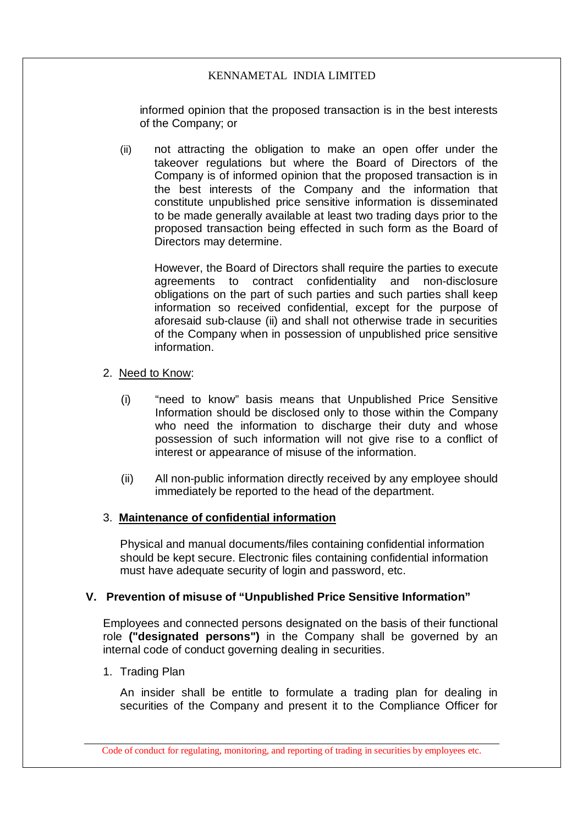informed opinion that the proposed transaction is in the best interests of the Company; or

(ii) not attracting the obligation to make an open offer under the takeover regulations but where the Board of Directors of the Company is of informed opinion that the proposed transaction is in the best interests of the Company and the information that constitute unpublished price sensitive information is disseminated to be made generally available at least two trading days prior to the proposed transaction being effected in such form as the Board of Directors may determine.

However, the Board of Directors shall require the parties to execute agreements to contract confidentiality and non-disclosure obligations on the part of such parties and such parties shall keep information so received confidential, except for the purpose of aforesaid sub-clause (ii) and shall not otherwise trade in securities of the Company when in possession of unpublished price sensitive information.

# 2. Need to Know:

- (i) "need to know" basis means that Unpublished Price Sensitive Information should be disclosed only to those within the Company who need the information to discharge their duty and whose possession of such information will not give rise to a conflict of interest or appearance of misuse of the information.
- (ii) All non-public information directly received by any employee should immediately be reported to the head of the department.

### 3. **Maintenance of confidential information**

Physical and manual documents/files containing confidential information should be kept secure. Electronic files containing confidential information must have adequate security of login and password, etc.

### **V. Prevention of misuse of "Unpublished Price Sensitive Information"**

Employees and connected persons designated on the basis of their functional role **("designated persons")** in the Company shall be governed by an internal code of conduct governing dealing in securities.

1. Trading Plan

An insider shall be entitle to formulate a trading plan for dealing in securities of the Company and present it to the Compliance Officer for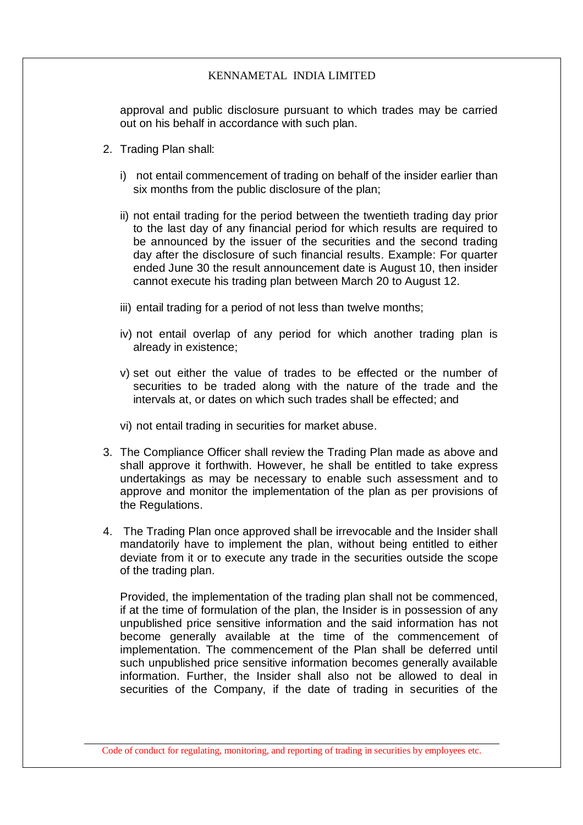approval and public disclosure pursuant to which trades may be carried out on his behalf in accordance with such plan.

- 2. Trading Plan shall:
	- i) not entail commencement of trading on behalf of the insider earlier than six months from the public disclosure of the plan;
	- ii) not entail trading for the period between the twentieth trading day prior to the last day of any financial period for which results are required to be announced by the issuer of the securities and the second trading day after the disclosure of such financial results. Example: For quarter ended June 30 the result announcement date is August 10, then insider cannot execute his trading plan between March 20 to August 12.
	- iii) entail trading for a period of not less than twelve months;
	- iv) not entail overlap of any period for which another trading plan is already in existence;
	- v) set out either the value of trades to be effected or the number of securities to be traded along with the nature of the trade and the intervals at, or dates on which such trades shall be effected; and
	- vi) not entail trading in securities for market abuse.
- 3. The Compliance Officer shall review the Trading Plan made as above and shall approve it forthwith. However, he shall be entitled to take express undertakings as may be necessary to enable such assessment and to approve and monitor the implementation of the plan as per provisions of the Regulations.
- 4. The Trading Plan once approved shall be irrevocable and the Insider shall mandatorily have to implement the plan, without being entitled to either deviate from it or to execute any trade in the securities outside the scope of the trading plan.

Provided, the implementation of the trading plan shall not be commenced, if at the time of formulation of the plan, the Insider is in possession of any unpublished price sensitive information and the said information has not become generally available at the time of the commencement of implementation. The commencement of the Plan shall be deferred until such unpublished price sensitive information becomes generally available information. Further, the Insider shall also not be allowed to deal in securities of the Company, if the date of trading in securities of the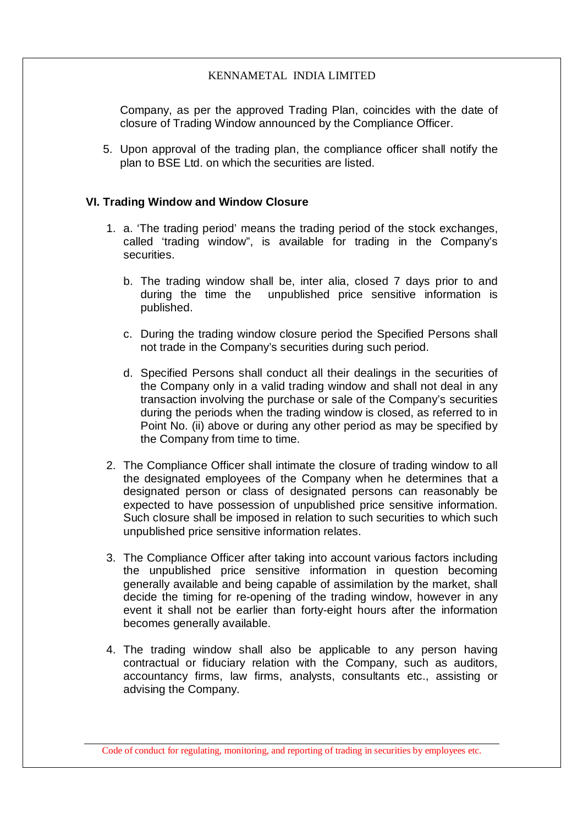Company, as per the approved Trading Plan, coincides with the date of closure of Trading Window announced by the Compliance Officer.

5. Upon approval of the trading plan, the compliance officer shall notify the plan to BSE Ltd. on which the securities are listed.

### **VI. Trading Window and Window Closure**

- 1. a. 'The trading period' means the trading period of the stock exchanges, called 'trading window", is available for trading in the Company's securities.
	- b. The trading window shall be, inter alia, closed 7 days prior to and during the time the unpublished price sensitive information is published.
	- c. During the trading window closure period the Specified Persons shall not trade in the Company's securities during such period.
	- d. Specified Persons shall conduct all their dealings in the securities of the Company only in a valid trading window and shall not deal in any transaction involving the purchase or sale of the Company's securities during the periods when the trading window is closed, as referred to in Point No. (ii) above or during any other period as may be specified by the Company from time to time.
- 2. The Compliance Officer shall intimate the closure of trading window to all the designated employees of the Company when he determines that a designated person or class of designated persons can reasonably be expected to have possession of unpublished price sensitive information. Such closure shall be imposed in relation to such securities to which such unpublished price sensitive information relates.
- 3. The Compliance Officer after taking into account various factors including the unpublished price sensitive information in question becoming generally available and being capable of assimilation by the market, shall decide the timing for re-opening of the trading window, however in any event it shall not be earlier than forty-eight hours after the information becomes generally available.
- 4. The trading window shall also be applicable to any person having contractual or fiduciary relation with the Company, such as auditors, accountancy firms, law firms, analysts, consultants etc., assisting or advising the Company.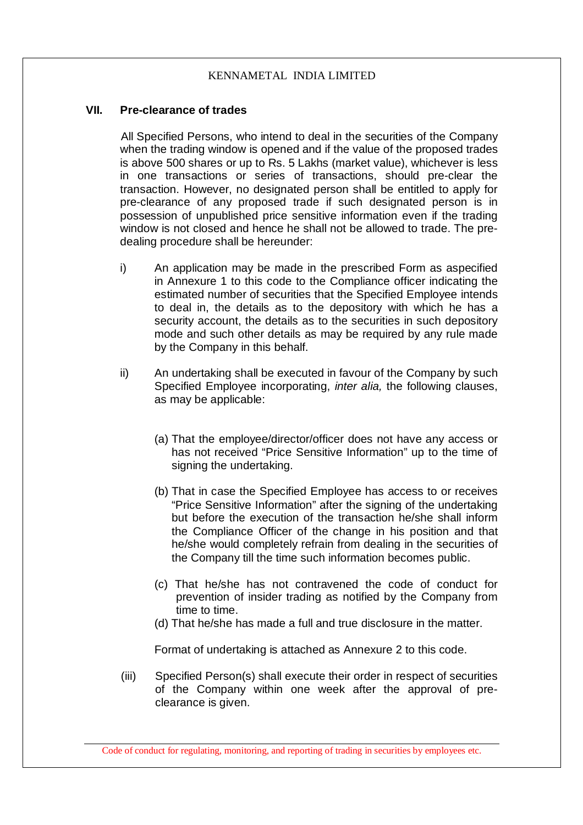### **VII. Pre-clearance of trades**

 All Specified Persons, who intend to deal in the securities of the Company when the trading window is opened and if the value of the proposed trades is above 500 shares or up to Rs. 5 Lakhs (market value), whichever is less in one transactions or series of transactions, should pre-clear the transaction. However, no designated person shall be entitled to apply for pre-clearance of any proposed trade if such designated person is in possession of unpublished price sensitive information even if the trading window is not closed and hence he shall not be allowed to trade. The predealing procedure shall be hereunder:

- i) An application may be made in the prescribed Form as aspecified in Annexure 1 to this code to the Compliance officer indicating the estimated number of securities that the Specified Employee intends to deal in, the details as to the depository with which he has a security account, the details as to the securities in such depository mode and such other details as may be required by any rule made by the Company in this behalf.
- ii) An undertaking shall be executed in favour of the Company by such Specified Employee incorporating, *inter alia,* the following clauses, as may be applicable:
	- (a) That the employee/director/officer does not have any access or has not received "Price Sensitive Information" up to the time of signing the undertaking.
	- (b) That in case the Specified Employee has access to or receives "Price Sensitive Information" after the signing of the undertaking but before the execution of the transaction he/she shall inform the Compliance Officer of the change in his position and that he/she would completely refrain from dealing in the securities of the Company till the time such information becomes public.
	- (c) That he/she has not contravened the code of conduct for prevention of insider trading as notified by the Company from time to time.
	- (d) That he/she has made a full and true disclosure in the matter.

Format of undertaking is attached as Annexure 2 to this code.

(iii) Specified Person(s) shall execute their order in respect of securities of the Company within one week after the approval of preclearance is given.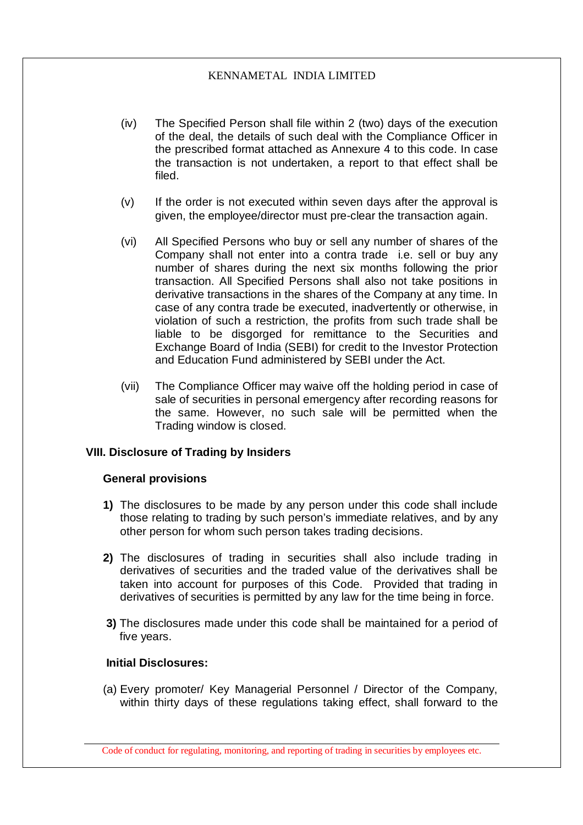- (iv) The Specified Person shall file within 2 (two) days of the execution of the deal, the details of such deal with the Compliance Officer in the prescribed format attached as Annexure 4 to this code. In case the transaction is not undertaken, a report to that effect shall be filed.
- $(v)$  If the order is not executed within seven days after the approval is given, the employee/director must pre-clear the transaction again.
- (vi) All Specified Persons who buy or sell any number of shares of the Company shall not enter into a contra trade i.e. sell or buy any number of shares during the next six months following the prior transaction. All Specified Persons shall also not take positions in derivative transactions in the shares of the Company at any time. In case of any contra trade be executed, inadvertently or otherwise, in violation of such a restriction, the profits from such trade shall be liable to be disgorged for remittance to the Securities and Exchange Board of India (SEBI) for credit to the Investor Protection and Education Fund administered by SEBI under the Act.
- (vii) The Compliance Officer may waive off the holding period in case of sale of securities in personal emergency after recording reasons for the same. However, no such sale will be permitted when the Trading window is closed.

### **VIII. Disclosure of Trading by Insiders**

#### **General provisions**

- **1)** The disclosures to be made by any person under this code shall include those relating to trading by such person's immediate relatives, and by any other person for whom such person takes trading decisions.
- **2)** The disclosures of trading in securities shall also include trading in derivatives of securities and the traded value of the derivatives shall be taken into account for purposes of this Code. Provided that trading in derivatives of securities is permitted by any law for the time being in force.
- **3)** The disclosures made under this code shall be maintained for a period of five years.

#### **Initial Disclosures:**

(a) Every promoter/ Key Managerial Personnel / Director of the Company, within thirty days of these regulations taking effect, shall forward to the

Code of conduct for regulating, monitoring, and reporting of trading in securities by employees etc.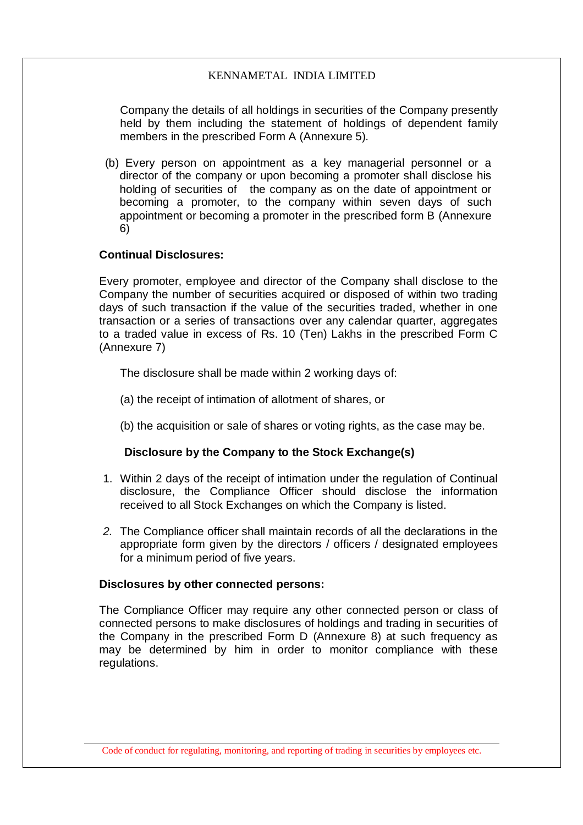Company the details of all holdings in securities of the Company presently held by them including the statement of holdings of dependent family members in the prescribed Form A (Annexure 5).

 (b) Every person on appointment as a key managerial personnel or a director of the company or upon becoming a promoter shall disclose his holding of securities of the company as on the date of appointment or becoming a promoter, to the company within seven days of such appointment or becoming a promoter in the prescribed form B (Annexure 6)

# **Continual Disclosures:**

Every promoter, employee and director of the Company shall disclose to the Company the number of securities acquired or disposed of within two trading days of such transaction if the value of the securities traded, whether in one transaction or a series of transactions over any calendar quarter, aggregates to a traded value in excess of Rs. 10 (Ten) Lakhs in the prescribed Form C (Annexure 7)

The disclosure shall be made within 2 working days of:

- (a) the receipt of intimation of allotment of shares, or
- (b) the acquisition or sale of shares or voting rights, as the case may be.

### **Disclosure by the Company to the Stock Exchange(s)**

- 1. Within 2 days of the receipt of intimation under the regulation of Continual disclosure, the Compliance Officer should disclose the information received to all Stock Exchanges on which the Company is listed.
- *2.* The Compliance officer shall maintain records of all the declarations in the appropriate form given by the directors / officers / designated employees for a minimum period of five years.

#### **Disclosures by other connected persons:**

The Compliance Officer may require any other connected person or class of connected persons to make disclosures of holdings and trading in securities of the Company in the prescribed Form D (Annexure 8) at such frequency as may be determined by him in order to monitor compliance with these regulations.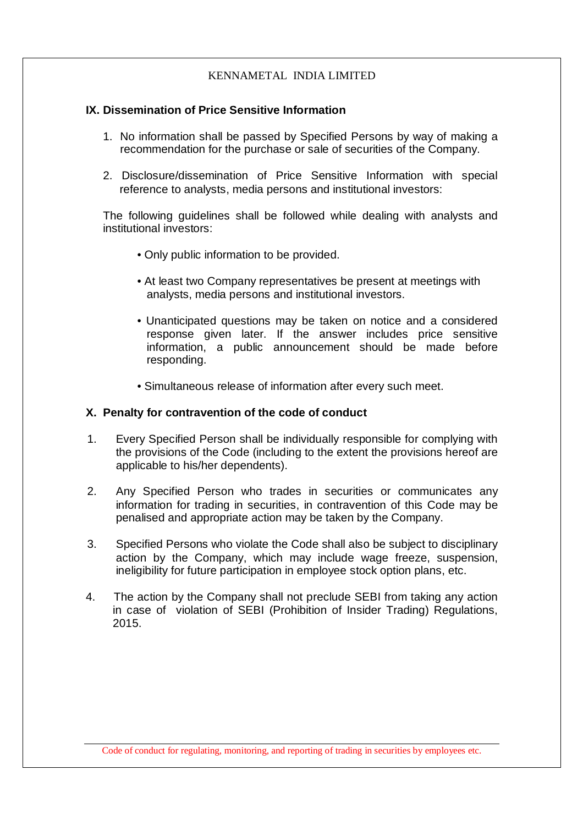### **IX. Dissemination of Price Sensitive Information**

- 1. No information shall be passed by Specified Persons by way of making a recommendation for the purchase or sale of securities of the Company.
- 2. Disclosure/dissemination of Price Sensitive Information with special reference to analysts, media persons and institutional investors:

The following guidelines shall be followed while dealing with analysts and institutional investors:

- Only public information to be provided.
- At least two Company representatives be present at meetings with analysts, media persons and institutional investors.
- Unanticipated questions may be taken on notice and a considered response given later. If the answer includes price sensitive information, a public announcement should be made before responding.
- Simultaneous release of information after every such meet.

### **X. Penalty for contravention of the code of conduct**

- 1. Every Specified Person shall be individually responsible for complying with the provisions of the Code (including to the extent the provisions hereof are applicable to his/her dependents).
- 2. Any Specified Person who trades in securities or communicates any information for trading in securities, in contravention of this Code may be penalised and appropriate action may be taken by the Company.
- 3. Specified Persons who violate the Code shall also be subject to disciplinary action by the Company, which may include wage freeze, suspension, ineligibility for future participation in employee stock option plans, etc.
- 4. The action by the Company shall not preclude SEBI from taking any action in case of violation of SEBI (Prohibition of Insider Trading) Regulations, 2015.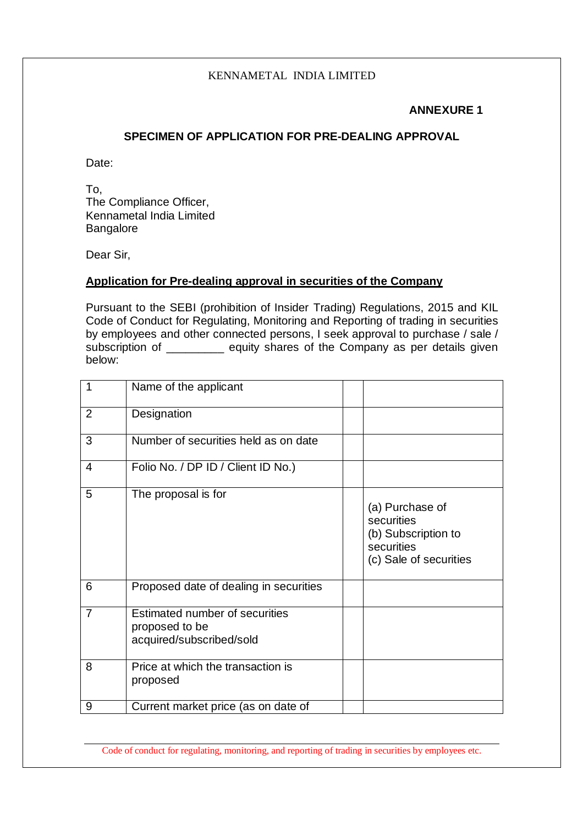# **ANNEXURE 1**

# **SPECIMEN OF APPLICATION FOR PRE-DEALING APPROVAL**

Date:

To, The Compliance Officer, Kennametal India Limited **Bangalore** 

Dear Sir,

### **Application for Pre-dealing approval in securities of the Company**

Pursuant to the SEBI (prohibition of Insider Trading) Regulations, 2015 and KIL Code of Conduct for Regulating, Monitoring and Reporting of trading in securities by employees and other connected persons, I seek approval to purchase / sale / subscription of \_\_\_\_\_\_\_\_\_ equity shares of the Company as per details given below:

| 1              | Name of the applicant                                                        |                                                                                              |
|----------------|------------------------------------------------------------------------------|----------------------------------------------------------------------------------------------|
| 2              | Designation                                                                  |                                                                                              |
| 3              | Number of securities held as on date                                         |                                                                                              |
| $\overline{4}$ | Folio No. / DP ID / Client ID No.)                                           |                                                                                              |
| 5              | The proposal is for                                                          | (a) Purchase of<br>securities<br>(b) Subscription to<br>securities<br>(c) Sale of securities |
| 6              | Proposed date of dealing in securities                                       |                                                                                              |
| $\overline{7}$ | Estimated number of securities<br>proposed to be<br>acquired/subscribed/sold |                                                                                              |
| 8              | Price at which the transaction is<br>proposed                                |                                                                                              |
| 9              | Current market price (as on date of                                          |                                                                                              |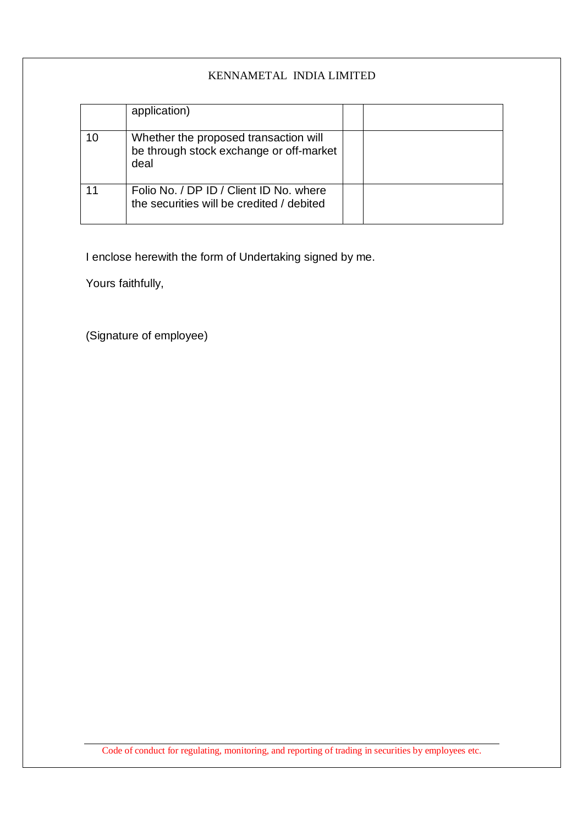|    | application)                                                                             |  |
|----|------------------------------------------------------------------------------------------|--|
| 10 | Whether the proposed transaction will<br>be through stock exchange or off-market<br>deal |  |
| 11 | Folio No. / DP ID / Client ID No. where<br>the securities will be credited / debited     |  |

I enclose herewith the form of Undertaking signed by me.

Yours faithfully,

(Signature of employee)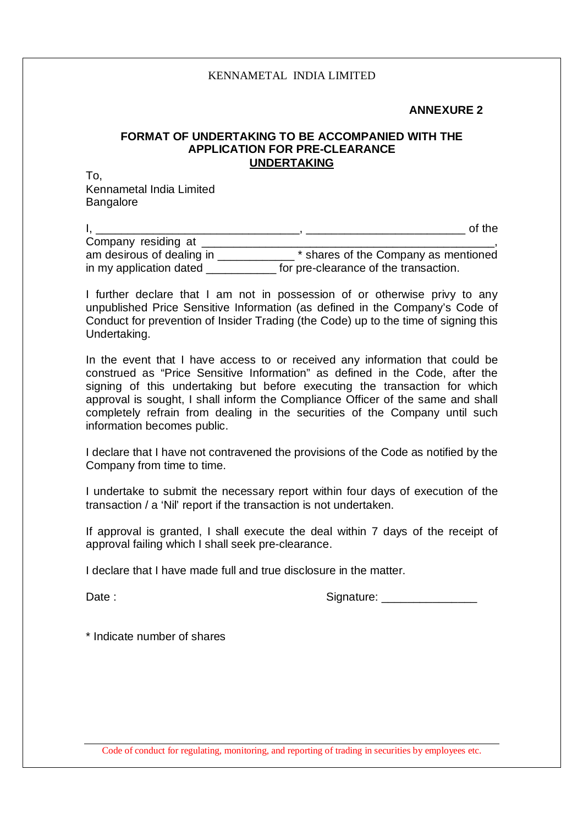### **ANNEXURE 2**

# **FORMAT OF UNDERTAKING TO BE ACCOMPANIED WITH THE APPLICATION FOR PRE-CLEARANCE UNDERTAKING**

To, Kennametal India Limited **Bangalore** 

|                           | of the                                |
|---------------------------|---------------------------------------|
| Company residing at       |                                       |
| am desirous of dealing in | * shares of the Company as mentioned  |
| in my application dated   | for pre-clearance of the transaction. |

I further declare that I am not in possession of or otherwise privy to any unpublished Price Sensitive Information (as defined in the Company's Code of Conduct for prevention of Insider Trading (the Code) up to the time of signing this Undertaking.

In the event that I have access to or received any information that could be construed as "Price Sensitive Information" as defined in the Code, after the signing of this undertaking but before executing the transaction for which approval is sought, I shall inform the Compliance Officer of the same and shall completely refrain from dealing in the securities of the Company until such information becomes public.

I declare that I have not contravened the provisions of the Code as notified by the Company from time to time.

I undertake to submit the necessary report within four days of execution of the transaction / a 'Nil' report if the transaction is not undertaken.

If approval is granted, I shall execute the deal within 7 days of the receipt of approval failing which I shall seek pre-clearance.

I declare that I have made full and true disclosure in the matter.

Date : 2000 and 2000 and 2000 and 2000 and 30 Signature: 2000 and 2000 and 2000 and 2000 and 2000 and 2000 and 2000  $\frac{1}{2}$ 

\* Indicate number of shares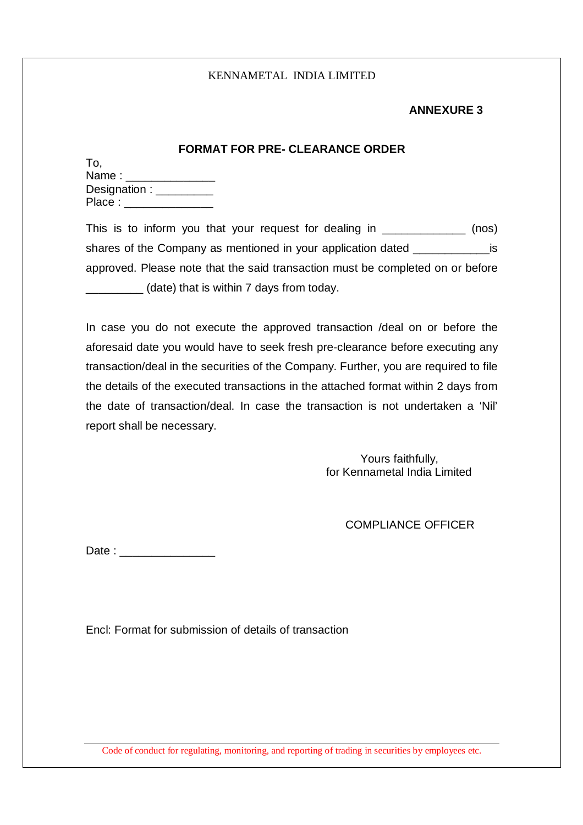#### **ANNEXURE 3**

### **FORMAT FOR PRE- CLEARANCE ORDER**

| 1 O.                           |  |
|--------------------------------|--|
| Name: $\overline{\phantom{a}}$ |  |
| Designation : _                |  |
| Place:                         |  |

 $\mathbf{r}_{\bullet}$ 

This is to inform you that your request for dealing in \_\_\_\_\_\_\_\_\_\_\_\_\_\_\_ (nos) shares of the Company as mentioned in your application dated \_\_\_\_\_\_\_\_\_\_\_\_\_\_\_\_\_is approved. Please note that the said transaction must be completed on or before \_\_\_\_\_\_\_\_\_ (date) that is within 7 days from today.

In case you do not execute the approved transaction /deal on or before the aforesaid date you would have to seek fresh pre-clearance before executing any transaction/deal in the securities of the Company. Further, you are required to file the details of the executed transactions in the attached format within 2 days from the date of transaction/deal. In case the transaction is not undertaken a 'Nil' report shall be necessary.

> Yours faithfully, for Kennametal India Limited

## COMPLIANCE OFFICER

Date : \_\_\_\_\_\_\_\_\_\_\_\_\_\_\_

Encl: Format for submission of details of transaction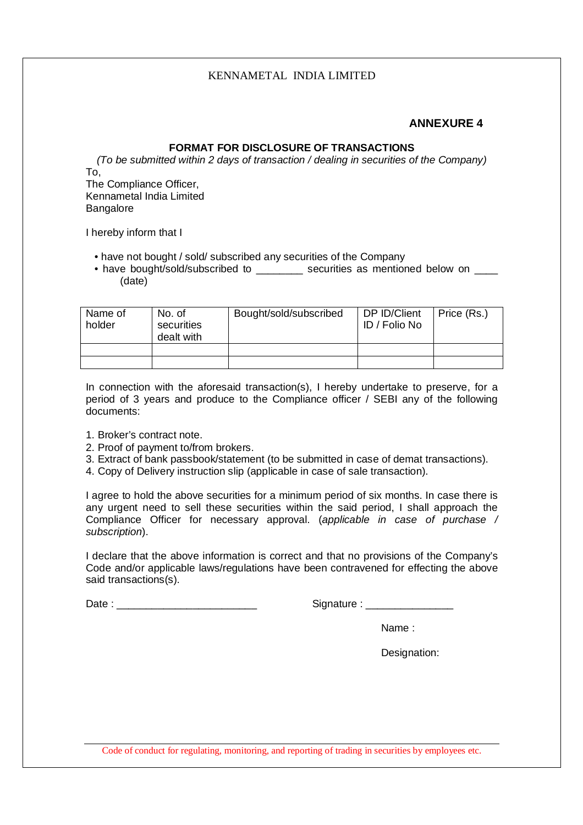# **ANNEXURE 4**

# **FORMAT FOR DISCLOSURE OF TRANSACTIONS**

*(To be submitted within 2 days of transaction / dealing in securities of the Company)*  To,

The Compliance Officer, Kennametal India Limited Bangalore

I hereby inform that I

- have not bought / sold/ subscribed any securities of the Company
- have bought/sold/subscribed to \_\_\_\_\_\_\_\_ securities as mentioned below on \_\_\_\_ (date)

| Name of<br>holder | No. of<br>securities<br>dealt with | Bought/sold/subscribed | DP ID/Client<br>ID / Folio No | Price (Rs.) |  |
|-------------------|------------------------------------|------------------------|-------------------------------|-------------|--|
|                   |                                    |                        |                               |             |  |
|                   |                                    |                        |                               |             |  |

In connection with the aforesaid transaction(s), I hereby undertake to preserve, for a period of 3 years and produce to the Compliance officer / SEBI any of the following documents:

- 1. Broker's contract note.
- 2. Proof of payment to/from brokers.
- 3. Extract of bank passbook/statement (to be submitted in case of demat transactions).
- 4. Copy of Delivery instruction slip (applicable in case of sale transaction).

I agree to hold the above securities for a minimum period of six months. In case there is any urgent need to sell these securities within the said period, I shall approach the Compliance Officer for necessary approval. (*applicable in case of purchase / subscription*).

I declare that the above information is correct and that no provisions of the Company's Code and/or applicable laws/regulations have been contravened for effecting the above said transactions(s).

Date : \_\_\_\_\_\_\_\_\_\_\_\_\_\_\_\_\_\_\_\_\_\_\_\_ Signature : \_\_\_\_\_\_\_\_\_\_\_\_\_\_\_

Name :

Designation: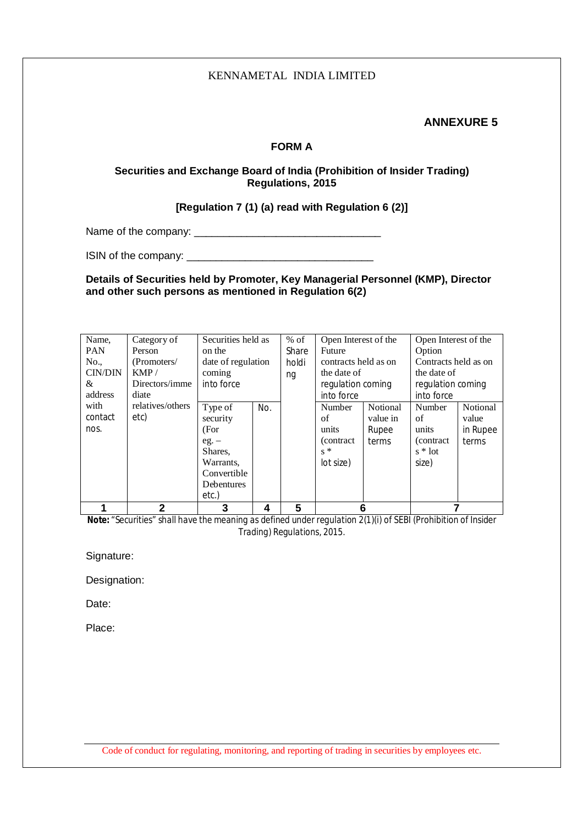**ANNEXURE 5** 

# **FORM A**

#### **Securities and Exchange Board of India (Prohibition of Insider Trading) Regulations, 2015**

#### **[Regulation 7 (1) (a) read with Regulation 6 (2)]**

Name of the company: \_\_\_\_\_\_\_\_\_\_\_\_\_\_\_\_\_\_\_\_\_\_\_\_\_\_\_\_\_\_\_\_

ISIN of the company: \_\_\_\_\_\_\_\_\_\_\_\_\_\_\_\_\_\_\_\_\_\_\_\_\_\_\_\_\_\_\_\_

### **Details of Securities held by Promoter, Key Managerial Personnel (KMP), Director and other such persons as mentioned in Regulation 6(2)**

| Name,          | Category of      | Securities held as |     | $%$ of | Open Interest of the |          | Open Interest of the |          |  |
|----------------|------------------|--------------------|-----|--------|----------------------|----------|----------------------|----------|--|
| <b>PAN</b>     | Person           | on the             |     | Share  | Future               |          | Option               |          |  |
| No.            | (Promoters/      | date of regulation |     | holdi  | contracts held as on |          | Contracts held as on |          |  |
| <b>CIN/DIN</b> | KMP/             | coming             |     | ng     | the date of          |          | the date of          |          |  |
| &              | Directors/imme   | into force         |     |        | regulation coming    |          | regulation coming    |          |  |
| address        | diate            |                    |     |        | into force           |          | into force           |          |  |
| with           | relatives/others | Type of            | No. |        | Number               | Notional | Number               | Notional |  |
| contact        | etc)             | security           |     |        | of                   | value in | of                   | value    |  |
| nos.           |                  | (For               |     |        | units                | Rupee    | units                | in Rupee |  |
|                |                  | $eg. -$            |     |        | (contract)           | terms    | (contract)           | terms    |  |
|                |                  | Shares,            |     |        | $s^*$                |          | $s *$ lot            |          |  |
|                |                  | Warrants,          |     |        | lot size)            |          | size)                |          |  |
|                |                  | Convertible        |     |        |                      |          |                      |          |  |
|                |                  | Debentures         |     |        |                      |          |                      |          |  |
|                |                  | etc.)              |     |        |                      |          |                      |          |  |
|                | $\mathbf{2}$     |                    | 4   | 5      | 6                    |          |                      |          |  |

*Note: "Securities" shall have the meaning as defined under regulation 2(1)(i) of SEBI (Prohibition of Insider Trading) Regulations, 2015.*

Signature:

Designation:

Date:

Place: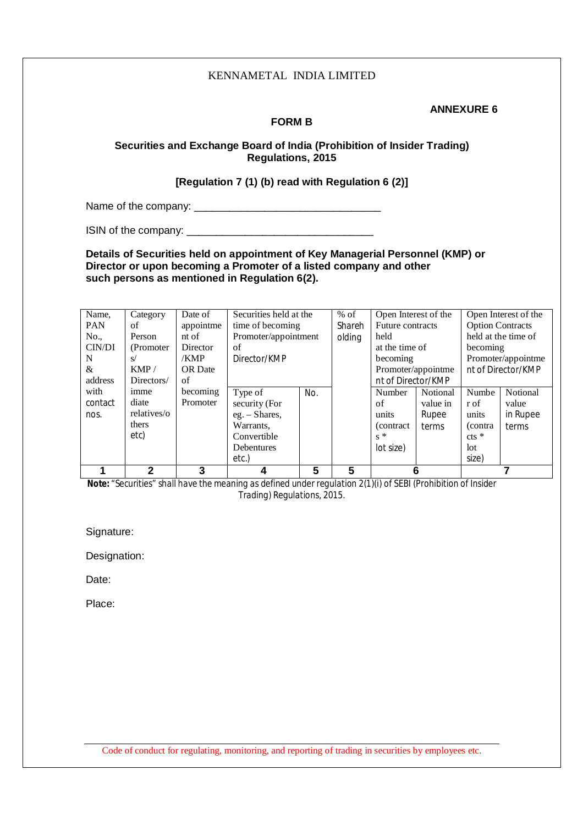#### **ANNEXURE 6**

#### **FORM B**

### **Securities and Exchange Board of India (Prohibition of Insider Trading) Regulations, 2015**

**[Regulation 7 (1) (b) read with Regulation 6 (2)]**

Name of the company: \_\_\_\_\_\_\_\_\_\_\_\_\_\_\_\_\_\_\_\_\_\_\_\_\_\_\_\_\_\_\_\_

ISIN of the company:

**Details of Securities held on appointment of Key Managerial Personnel (KMP) or Director or upon becoming a Promoter of a listed company and other such persons as mentioned in Regulation 6(2).**

| Name,      | Category     | Date of        | Securities held at the |        | $%$ of         | Open Interest of the    |                     | Open Interest of the    |          |  |
|------------|--------------|----------------|------------------------|--------|----------------|-------------------------|---------------------|-------------------------|----------|--|
| <b>PAN</b> | of           | appointme      | time of becoming       |        | Shareh         | <b>Future contracts</b> |                     | <b>Option Contracts</b> |          |  |
| No.        | Person       | nt of          | Promoter/appointment   | olding | held           |                         | held at the time of |                         |          |  |
| CIN/DI     | (Promoter)   | Director       | of                     |        | at the time of |                         | becoming            |                         |          |  |
| N          | S/           | /KMP           | Director/KMP           |        |                | becoming                |                     | Promoter/appointme      |          |  |
| &          | KMP/         | <b>OR</b> Date |                        |        |                | Promoter/appointme      |                     | nt of Director/KMP      |          |  |
| address    | Directors/   | of             |                        |        |                | nt of Director/KMP      |                     |                         |          |  |
| with       | imme         | becoming       | Type of                | No.    |                | Number                  | Notional            | Numbe                   | Notional |  |
| contact    | diate        | Promoter       | security (For          |        |                | of                      | value in            | r of                    | value    |  |
| nos.       | relatives/o  |                | $eg. - Shares,$        |        |                | units                   | Rupee               | units                   | in Rupee |  |
|            | thers        |                | Warrants,              |        |                | (contract)              | terms               | (contra                 | terms    |  |
|            | etc)         |                | Convertible            |        |                | $s^*$                   |                     | $cts *$                 |          |  |
|            |              |                | <b>Debentures</b>      |        |                | lot size)               |                     | lot                     |          |  |
|            |              |                | etc.)                  |        |                |                         |                     | size)                   |          |  |
|            | $\mathbf{2}$ | 3              |                        | 5      | 5              |                         |                     |                         |          |  |

*Note: "Securities" shall have the meaning as defined under regulation 2(1)(i) of SEBI (Prohibition of Insider Trading) Regulations, 2015.*

Signature:

Designation:

Date:

Place: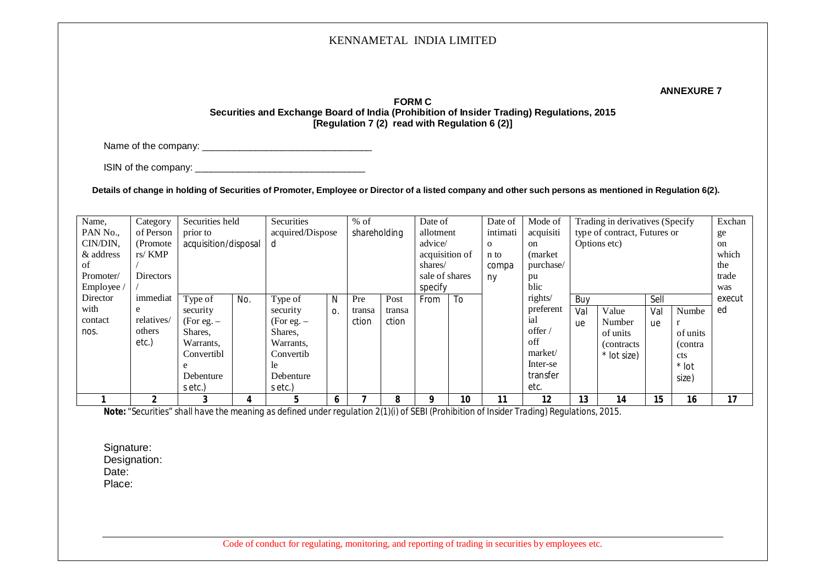#### **ANNEXURE 7**

#### **FORM C Securities and Exchange Board of India (Prohibition of Insider Trading) Regulations, 2015 [Regulation 7 (2) read with Regulation 6 (2)]**

Name of the company: \_\_\_\_\_\_\_\_\_\_\_\_\_\_\_\_\_\_\_\_\_\_\_\_\_\_\_\_\_\_\_\_

ISIN of the company: \_\_\_\_\_\_\_\_\_\_\_\_\_\_\_\_\_\_\_\_\_\_\_\_\_\_\_\_\_\_\_\_

**Details of change in holding of Securities of Promoter, Employee or Director of a listed company and other such persons as mentioned in Regulation 6(2).**

| Name,      | Category         | Securities held      |     | Securities       |    | $%$ of       |        | Date of        |                | Date of  | Mode of        | Trading in derivatives (Specify |              |      |            | Exchan |
|------------|------------------|----------------------|-----|------------------|----|--------------|--------|----------------|----------------|----------|----------------|---------------------------------|--------------|------|------------|--------|
| PAN No.,   | of Person        | prior to             |     | acquired/Dispose |    | shareholding |        | allotment      |                | intimati | acquisiti      | type of contract, Futures or    |              |      | ge         |        |
| CIN/DIN,   | (Promote)        | acquisition/disposal |     |                  |    |              |        |                | advice/        | 0        | on             |                                 | Options etc) |      |            | on     |
| & address  | rs/KMP           |                      |     |                  |    |              |        | acquisition of |                | n to     | (market)       |                                 |              |      |            | which  |
| of         |                  |                      |     |                  |    |              |        | shares/        |                | compa    | purchase/      |                                 |              |      |            | the    |
| Promoter/  | <b>Directors</b> |                      |     |                  |    |              |        | sale of shares |                | ny       | pu             |                                 |              |      |            | trade  |
| Employee / |                  |                      |     |                  |    |              |        | specify        |                |          | blic           |                                 |              |      |            | was    |
| Director   | immediat         | Type of              | No. | Type of          | N  | Pre          | Post   | From           | T <sub>o</sub> |          | rights/        | Buy                             |              | Sell |            | execut |
| with       | e                | security             |     | security         | 0. | transa       | transa |                |                |          | preferent      | Val                             | Value        | Val  | Numbe      | ed     |
| contact    | relatives/       | (For eg. $-$         |     | $(For e.g. -$    |    | ction        | ction  |                |                |          | ial            | ue                              | Number       | ue   |            |        |
| nos.       | others           | Shares,              |     | Shares,          |    |              |        |                |                |          | offer $\theta$ |                                 | of units     |      | of units   |        |
|            | etc.)            | Warrants,            |     | Warrants,        |    |              |        |                |                |          | off            |                                 | (contracts)  |      | (contra    |        |
|            |                  | Convertibl           |     | Convertib        |    |              |        |                |                |          | market/        |                                 | * lot size)  |      | <b>cts</b> |        |
|            |                  |                      |     | le               |    |              |        |                |                |          | Inter-se       |                                 |              |      | * lot      |        |
|            |                  | Debenture            |     | Debenture        |    |              |        |                |                |          | transfer       |                                 |              |      | size)      |        |
|            |                  | s etc.)              |     | s etc.)          |    |              |        |                |                |          | etc.           |                                 |              |      |            |        |
|            | $\overline{2}$   |                      | 4   | 5                | 6  |              | 8      |                | 10             | 11       | 12             | 13                              | 14           | 15   | 16         | 17     |

*Note: "Securities" shall have the meaning as defined under regulation 2(1)(i) of SEBI (Prohibition of Insider Trading) Regulations, 2015.*

Signature: Designation: Date:

Place: